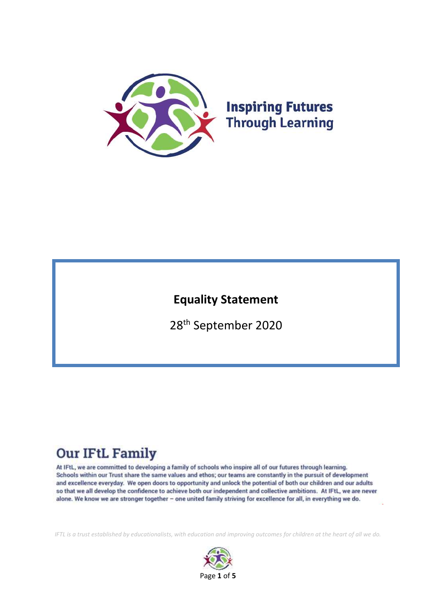

**Inspiring Futures Through Learning** 

# **Equality Statement**

28th September 2020

# **Our IFtL Family**

At IFtL, we are committed to developing a family of schools who inspire all of our futures through learning. Schools within our Trust share the same values and ethos; our teams are constantly in the pursuit of development and excellence everyday. We open doors to opportunity and unlock the potential of both our children and our adults so that we all develop the confidence to achieve both our independent and collective ambitions. At IFtL, we are never alone. We know we are stronger together - one united family striving for excellence for all, in everything we do.

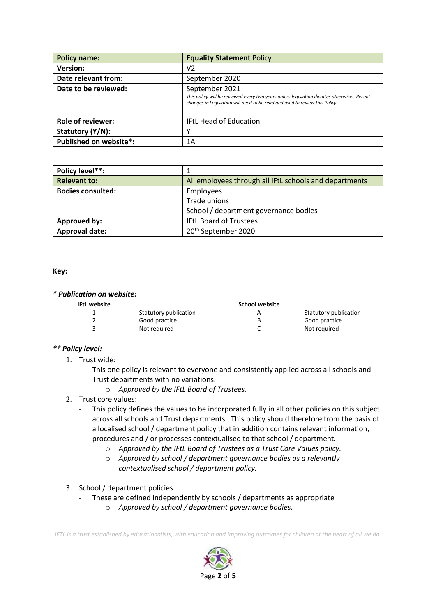| <b>Policy name:</b>      | <b>Equality Statement Policy</b>                                                                                                                                                            |  |
|--------------------------|---------------------------------------------------------------------------------------------------------------------------------------------------------------------------------------------|--|
| <b>Version:</b>          | V2                                                                                                                                                                                          |  |
| Date relevant from:      | September 2020                                                                                                                                                                              |  |
| Date to be reviewed:     | September 2021<br>This policy will be reviewed every two years unless legislation dictates otherwise. Recent<br>changes in Legislation will need to be read and used to review this Policy. |  |
| <b>Role of reviewer:</b> | <b>IFtL Head of Education</b>                                                                                                                                                               |  |
| Statutory (Y/N):         | ν                                                                                                                                                                                           |  |
| Published on website*:   | 1A                                                                                                                                                                                          |  |

| Policy level**:          |                                                        |  |
|--------------------------|--------------------------------------------------------|--|
| <b>Relevant to:</b>      | All employees through all IFtL schools and departments |  |
| <b>Bodies consulted:</b> | Employees                                              |  |
|                          | Trade unions                                           |  |
|                          | School / department governance bodies                  |  |
| Approved by:             | <b>IFtL Board of Trustees</b>                          |  |
| <b>Approval date:</b>    | 20 <sup>th</sup> September 2020                        |  |

#### **Key:**

#### *\* Publication on website:*

|  | IFtL website |
|--|--------------|
|  |              |

| IFtL website |                       | School website |                       |
|--------------|-----------------------|----------------|-----------------------|
|              | Statutory publication | A              | Statutory publication |
|              | Good practice         | В              | Good practice         |
|              | Not required          |                | Not required          |

#### *\*\* Policy level:*

- 1. Trust wide:
	- *-* This one policy is relevant to everyone and consistently applied across all schools and Trust departments with no variations.
		- o *Approved by the IFtL Board of Trustees.*
- 2. Trust core values:
	- This policy defines the values to be incorporated fully in all other policies on this subject across all schools and Trust departments. This policy should therefore from the basis of a localised school / department policy that in addition contains relevant information, procedures and / or processes contextualised to that school / department.
		- o *Approved by the IFtL Board of Trustees as a Trust Core Values policy.*
		- o *Approved by school / department governance bodies as a relevantly contextualised school / department policy.*
- 3. School / department policies
	- *-* These are defined independently by schools / departments as appropriate
		- o *Approved by school / department governance bodies.*

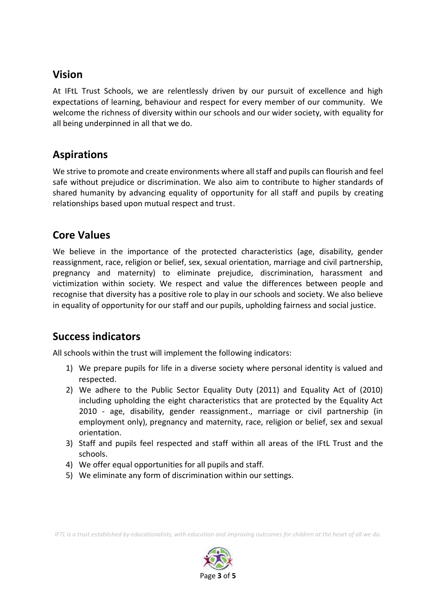### **Vision**

At IFtL Trust Schools, we are relentlessly driven by our pursuit of excellence and high expectations of learning, behaviour and respect for every member of our community. We welcome the richness of diversity within our schools and our wider society, with equality for all being underpinned in all that we do.

### **Aspirations**

We strive to promote and create environments where all staff and pupils can flourish and feel safe without prejudice or discrimination. We also aim to contribute to higher standards of shared humanity by advancing equality of opportunity for all staff and pupils by creating relationships based upon mutual respect and trust.

### **Core Values**

We believe in the importance of the protected characteristics (age, disability, gender reassignment, race, religion or belief, sex, sexual orientation, marriage and civil partnership, pregnancy and maternity) to eliminate prejudice, discrimination, harassment and victimization within society. We respect and value the differences between people and recognise that diversity has a positive role to play in our schools and society. We also believe in equality of opportunity for our staff and our pupils, upholding fairness and social justice.

### **Success indicators**

All schools within the trust will implement the following indicators:

- 1) We prepare pupils for life in a diverse society where personal identity is valued and respected.
- 2) We adhere to the Public Sector Equality Duty (2011) and Equality Act of (2010) including upholding the eight characteristics that are protected by the Equality Act 2010 - age, disability, gender reassignment., marriage or civil partnership (in employment only), pregnancy and maternity, race, religion or belief, sex and sexual orientation.
- 3) Staff and pupils feel respected and staff within all areas of the IFtL Trust and the schools.
- 4) We offer equal opportunities for all pupils and staff.
- 5) We eliminate any form of discrimination within our settings.

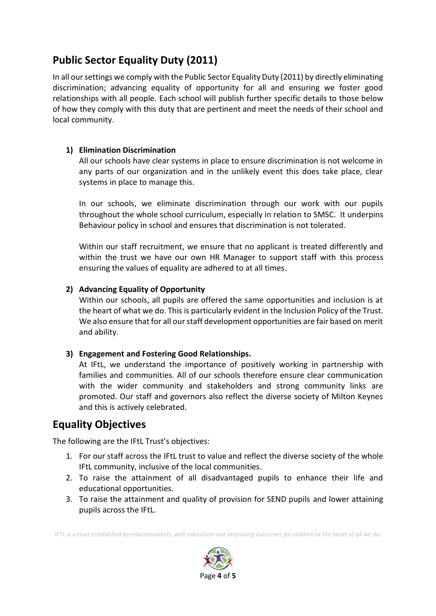## **Public Sector Equality Duty (2011)**

In all our settings we comply with the Public Sector Equality Duty (2011) by directly eliminating discrimination; advancing equality of opportunity for all and ensuring we foster good relationships with all people. Each school will publish further specific details to those below of how they comply with this duty that are pertinent and meet the needs of their school and local community.

#### **1) Elimination Discrimination**

All our schools have clear systems in place to ensure discrimination is not welcome in any parts of our organization and in the unlikely event this does take place, clear systems in place to manage this.

In our schools, we eliminate discrimination through our work with our pupils throughout the whole school curriculum, especially in relation to SMSC. It underpins Behaviour policy in school and ensures that discrimination is not tolerated.

Within our staff recruitment, we ensure that no applicant is treated differently and within the trust we have our own HR Manager to support staff with this process ensuring the values of equality are adhered to at all times.

#### **2) Advancing Equality of Opportunity**

Within our schools, all pupils are offered the same opportunities and inclusion is at the heart of what we do. This is particularly evident in the Inclusion Policy of the Trust. We also ensure that for all our staff development opportunities are fair based on merit and ability.

#### **3) Engagement and Fostering Good Relationships.**

At IFtL, we understand the importance of positively working in partnership with families and communities. All of our schools therefore ensure clear communication with the wider community and stakeholders and strong community links are promoted. Our staff and governors also reflect the diverse society of Milton Keynes and this is actively celebrated.

### **Equality Objectives**

The following are the IFtL Trust's objectives:

- 1. For our staff across the IFtL trust to value and reflect the diverse society of the whole IFtL community, inclusive of the local communities.
- 2. To raise the attainment of all disadvantaged pupils to enhance their life and educational opportunities.
- 3. To raise the attainment and quality of provision for SEND pupils and lower attaining pupils across the IFtL.